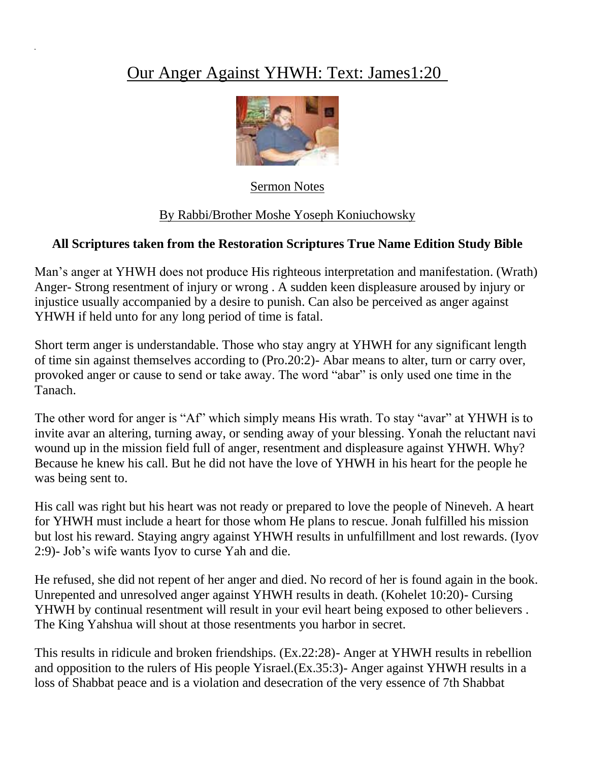## Our Anger Against YHWH: Text: James1:20



Sermon Notes

## By Rabbi/Brother Moshe Yoseph Koniuchowsky

## **All Scriptures taken from the Restoration Scriptures True Name Edition Study Bible**

Man's anger at YHWH does not produce His righteous interpretation and manifestation. (Wrath) Anger- Strong resentment of injury or wrong . A sudden keen displeasure aroused by injury or injustice usually accompanied by a desire to punish. Can also be perceived as anger against YHWH if held unto for any long period of time is fatal.

Short term anger is understandable. Those who stay angry at YHWH for any significant length of time sin against themselves according to (Pro.20:2)- Abar means to alter, turn or carry over, provoked anger or cause to send or take away. The word "abar" is only used one time in the Tanach.

The other word for anger is "Af" which simply means His wrath. To stay "avar" at YHWH is to invite avar an altering, turning away, or sending away of your blessing. Yonah the reluctant navi wound up in the mission field full of anger, resentment and displeasure against YHWH. Why? Because he knew his call. But he did not have the love of YHWH in his heart for the people he was being sent to.

His call was right but his heart was not ready or prepared to love the people of Nineveh. A heart for YHWH must include a heart for those whom He plans to rescue. Jonah fulfilled his mission but lost his reward. Staying angry against YHWH results in unfulfillment and lost rewards. (Iyov 2:9)- Job's wife wants Iyov to curse Yah and die.

He refused, she did not repent of her anger and died. No record of her is found again in the book. Unrepented and unresolved anger against YHWH results in death. (Kohelet 10:20)- Cursing YHWH by continual resentment will result in your evil heart being exposed to other believers . The King Yahshua will shout at those resentments you harbor in secret.

This results in ridicule and broken friendships. (Ex.22:28)- Anger at YHWH results in rebellion and opposition to the rulers of His people Yisrael.(Ex.35:3)- Anger against YHWH results in a loss of Shabbat peace and is a violation and desecration of the very essence of 7th Shabbat